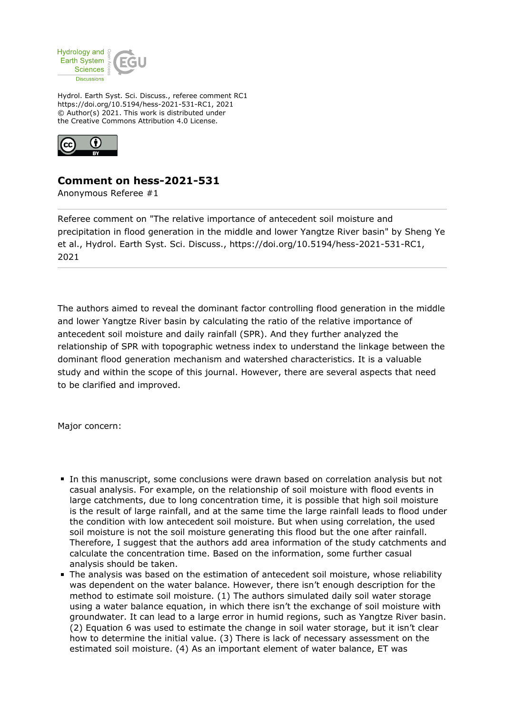

Hydrol. Earth Syst. Sci. Discuss., referee comment RC1 https://doi.org/10.5194/hess-2021-531-RC1, 2021 © Author(s) 2021. This work is distributed under the Creative Commons Attribution 4.0 License.



## **Comment on hess-2021-531**

Anonymous Referee #1

Referee comment on "The relative importance of antecedent soil moisture and precipitation in flood generation in the middle and lower Yangtze River basin" by Sheng Ye et al., Hydrol. Earth Syst. Sci. Discuss., https://doi.org/10.5194/hess-2021-531-RC1, 2021

The authors aimed to reveal the dominant factor controlling flood generation in the middle and lower Yangtze River basin by calculating the ratio of the relative importance of antecedent soil moisture and daily rainfall (SPR). And they further analyzed the relationship of SPR with topographic wetness index to understand the linkage between the dominant flood generation mechanism and watershed characteristics. It is a valuable study and within the scope of this journal. However, there are several aspects that need to be clarified and improved.

Major concern:

- In this manuscript, some conclusions were drawn based on correlation analysis but not casual analysis. For example, on the relationship of soil moisture with flood events in large catchments, due to long concentration time, it is possible that high soil moisture is the result of large rainfall, and at the same time the large rainfall leads to flood under the condition with low antecedent soil moisture. But when using correlation, the used soil moisture is not the soil moisture generating this flood but the one after rainfall. Therefore, I suggest that the authors add area information of the study catchments and calculate the concentration time. Based on the information, some further casual analysis should be taken.
- The analysis was based on the estimation of antecedent soil moisture, whose reliability was dependent on the water balance. However, there isn't enough description for the method to estimate soil moisture. (1) The authors simulated daily soil water storage using a water balance equation, in which there isn't the exchange of soil moisture with groundwater. It can lead to a large error in humid regions, such as Yangtze River basin. (2) Equation 6 was used to estimate the change in soil water storage, but it isn't clear how to determine the initial value. (3) There is lack of necessary assessment on the estimated soil moisture. (4) As an important element of water balance, ET was